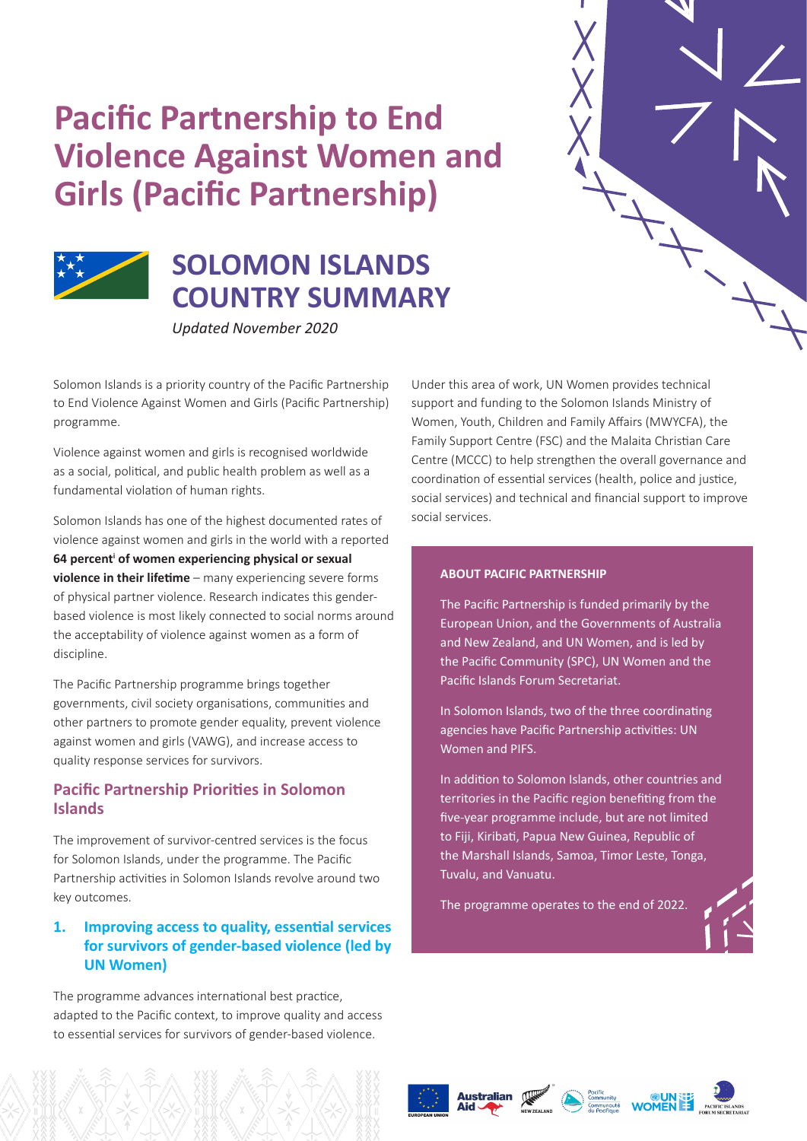# **Pacific Partnership to End Violence Against Women and Girls (Pacific Partnership)**



## **SOLOMON ISLANDS COUNTRY SUMMARY**

*Updated November 2020*

Solomon Islands is a priority country of the Pacific Partnership to End Violence Against Women and Girls (Pacific Partnership) programme.

Violence against women and girls is recognised worldwide as a social, political, and public health problem as well as a fundamental violation of human rights.

Solomon Islands has one of the highest documented rates of violence against women and girls in the world with a reported **64 percenti of women experiencing physical or sexual violence in their lifetime** – many experiencing severe forms of physical partner violence. Research indicates this genderbased violence is most likely connected to social norms around the acceptability of violence against women as a form of discipline.

The Pacific Partnership programme brings together governments, civil society organisations, communities and other partners to promote gender equality, prevent violence against women and girls (VAWG), and increase access to quality response services for survivors.

## **Pacific Partnership Priorities in Solomon Islands**

The improvement of survivor-centred services is the focus for Solomon Islands, under the programme. The Pacific Partnership activities in Solomon Islands revolve around two key outcomes.

## **1. Improving access to quality, essential services for survivors of gender-based violence (led by UN Women)**

The programme advances international best practice, adapted to the Pacific context, to improve quality and access to essential services for survivors of gender-based violence.

Under this area of work, UN Women provides technical support and funding to the Solomon Islands Ministry of Women, Youth, Children and Family Affairs (MWYCFA), the Family Support Centre (FSC) and the Malaita Christian Care Centre (MCCC) to help strengthen the overall governance and coordination of essential services (health, police and justice, social services) and technical and financial support to improve social services.

#### **ABOUT PACIFIC PARTNERSHIP**

The Pacific Partnership is funded primarily by the European Union, and the Governments of Australia and New Zealand, and UN Women, and is led by the Pacific Community (SPC), UN Women and the Pacific Islands Forum Secretariat.

In Solomon Islands, two of the three coordinating agencies have Pacific Partnership activities: UN Women and PIFS.

In addition to Solomon Islands, other countries and territories in the Pacific region benefiting from the five-year programme include, but are not limited to Fiji, Kiribati, Papua New Guinea, Republic of the Marshall Islands, Samoa, Timor Leste, Tonga, Tuvalu, and Vanuatu.

The programme operates to the end of 2022.







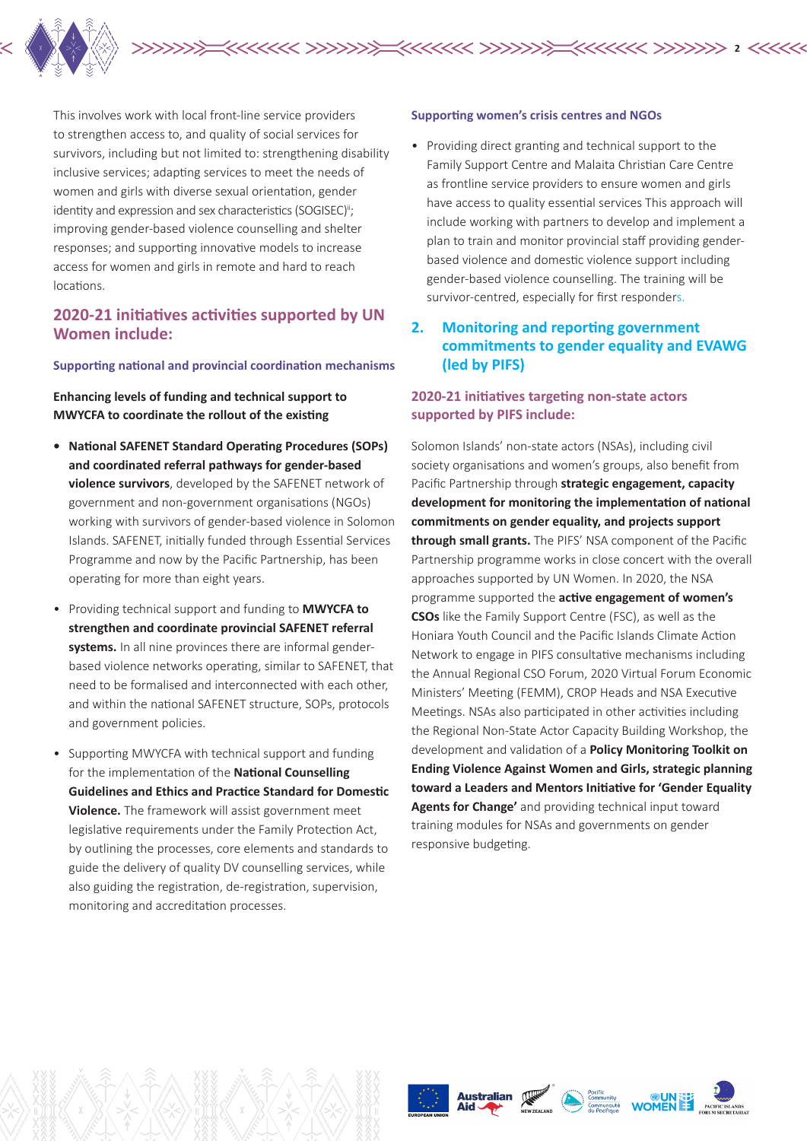

This involves work with local front-line service providers to strengthen access to, and quality of social services for survivors, including but not limited to: strengthening disability inclusive services; adapting services to meet the needs of women and girls with diverse sexual orientation, gender identity and expression and sex characteristics (SOGISEC)<sup>ii</sup>; improving gender-based violence counselling and shelter responses; and supporting innovative models to increase access for women and girls in remote and hard to reach locations.

## **2020-21 initiatives activities supported by UN Women include:**

#### **Supporting national and provincial coordination mechanisms**

**Enhancing levels of funding and technical support to MWYCFA to coordinate the rollout of the existing** 

- **• National SAFENET Standard Operating Procedures (SOPs) and coordinated referral pathways for gender-based violence survivors**, developed by the SAFENET network of government and non-government organisations (NGOs) working with survivors of gender-based violence in Solomon Islands. SAFENET, initially funded through Essential Services Programme and now by the Pacific Partnership, has been operating for more than eight years.
- Providing technical support and funding to **MWYCFA to strengthen and coordinate provincial SAFENET referral systems.** In all nine provinces there are informal genderbased violence networks operating, similar to SAFENET, that need to be formalised and interconnected with each other, and within the national SAFENET structure, SOPs, protocols and government policies.
- Supporting MWYCFA with technical support and funding for the implementation of the **National Counselling Guidelines and Ethics and Practice Standard for Domestic Violence.** The framework will assist government meet legislative requirements under the Family Protection Act, by outlining the processes, core elements and standards to guide the delivery of quality DV counselling services, while also guiding the registration, de-registration, supervision, monitoring and accreditation processes.

#### **Supporting women's crisis centres and NGOs**

• Providing direct granting and technical support to the Family Support Centre and Malaita Christian Care Centre as frontline service providers to ensure women and girls have access to quality essential services This approach will include working with partners to develop and implement a plan to train and monitor provincial staff providing genderbased violence and domestic violence support including gender-based violence counselling. The training will be survivor-centred, especially for first responders.

## **2. Monitoring and reporting government commitments to gender equality and EVAWG (led by PIFS)**

#### **2020-21 initiatives targeting non-state actors supported by PIFS include:**

Solomon Islands' non-state actors (NSAs), including civil society organisations and women's groups, also benefit from Pacific Partnership through **strategic engagement, capacity development for monitoring the implementation of national commitments on gender equality, and projects support through small grants.** The PIFS' NSA component of the Pacific Partnership programme works in close concert with the overall approaches supported by UN Women. In 2020, the NSA programme supported the **active engagement of women's CSOs** like the Family Support Centre (FSC), as well as the Honiara Youth Council and the Pacific Islands Climate Action Network to engage in PIFS consultative mechanisms including the Annual Regional CSO Forum, 2020 Virtual Forum Economic Ministers' Meeting (FEMM), CROP Heads and NSA Executive Meetings. NSAs also participated in other activities including the Regional Non-State Actor Capacity Building Workshop, the development and validation of a **Policy Monitoring Toolkit on Ending Violence Against Women and Girls, strategic planning toward a Leaders and Mentors Initiative for 'Gender Equality Agents for Change'** and providing technical input toward training modules for NSAs and governments on gender responsive budgeting.